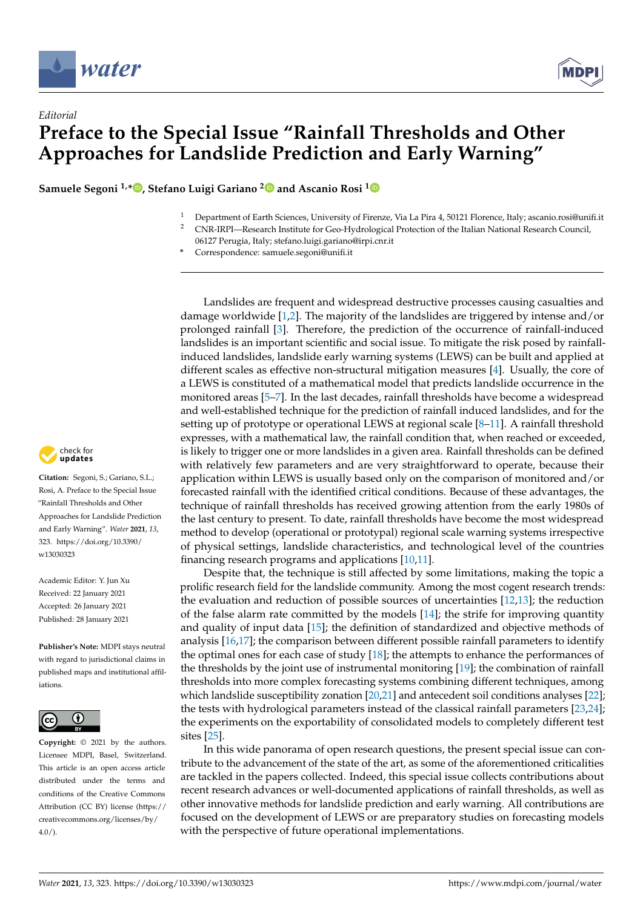

*Editorial*



## **Preface to the Special Issue "Rainfall Thresholds and Other Approaches for Landslide Prediction and Early Warning"**

**Samuele Segoni 1,\* [,](https://orcid.org/0000-0002-6030-1046) Stefano Luigi Gariano [2](https://orcid.org/0000-0002-1605-7701) and Ascanio Rosi [1](https://orcid.org/0000-0001-8930-5705)**

- <sup>1</sup> Department of Earth Sciences, University of Firenze, Via La Pira 4, 50121 Florence, Italy; ascanio.rosi@unifi.it
- <sup>2</sup> CNR-IRPI—Research Institute for Geo-Hydrological Protection of the Italian National Research Council, 06127 Perugia, Italy; stefano.luigi.gariano@irpi.cnr.it
- **\*** Correspondence: samuele.segoni@unifi.it

Landslides are frequent and widespread destructive processes causing casualties and damage worldwide [\[1,](#page-3-0)[2\]](#page-3-1). The majority of the landslides are triggered by intense and/or prolonged rainfall [\[3\]](#page-3-2). Therefore, the prediction of the occurrence of rainfall-induced landslides is an important scientific and social issue. To mitigate the risk posed by rainfallinduced landslides, landslide early warning systems (LEWS) can be built and applied at different scales as effective non-structural mitigation measures [\[4\]](#page-3-3). Usually, the core of a LEWS is constituted of a mathematical model that predicts landslide occurrence in the monitored areas [\[5](#page-3-4)[–7\]](#page-3-5). In the last decades, rainfall thresholds have become a widespread and well-established technique for the prediction of rainfall induced landslides, and for the setting up of prototype or operational LEWS at regional scale [\[8](#page-3-6)[–11\]](#page-3-7). A rainfall threshold expresses, with a mathematical law, the rainfall condition that, when reached or exceeded, is likely to trigger one or more landslides in a given area. Rainfall thresholds can be defined with relatively few parameters and are very straightforward to operate, because their application within LEWS is usually based only on the comparison of monitored and/or forecasted rainfall with the identified critical conditions. Because of these advantages, the technique of rainfall thresholds has received growing attention from the early 1980s of the last century to present. To date, rainfall thresholds have become the most widespread method to develop (operational or prototypal) regional scale warning systems irrespective of physical settings, landslide characteristics, and technological level of the countries financing research programs and applications [\[10,](#page-3-8)[11\]](#page-3-7).

Despite that, the technique is still affected by some limitations, making the topic a prolific research field for the landslide community. Among the most cogent research trends: the evaluation and reduction of possible sources of uncertainties [\[12](#page-3-9)[,13\]](#page-3-10); the reduction of the false alarm rate committed by the models  $[14]$ ; the strife for improving quantity and quality of input data [\[15\]](#page-4-0); the definition of standardized and objective methods of analysis [\[16](#page-4-1)[,17\]](#page-4-2); the comparison between different possible rainfall parameters to identify the optimal ones for each case of study  $[18]$ ; the attempts to enhance the performances of the thresholds by the joint use of instrumental monitoring [\[19\]](#page-4-4); the combination of rainfall thresholds into more complex forecasting systems combining different techniques, among which landslide susceptibility zonation [\[20](#page-4-5)[,21\]](#page-4-6) and antecedent soil conditions analyses [\[22\]](#page-4-7); the tests with hydrological parameters instead of the classical rainfall parameters [\[23,](#page-4-8)[24\]](#page-4-9); the experiments on the exportability of consolidated models to completely different test sites [\[25\]](#page-4-10).

In this wide panorama of open research questions, the present special issue can contribute to the advancement of the state of the art, as some of the aforementioned criticalities are tackled in the papers collected. Indeed, this special issue collects contributions about recent research advances or well-documented applications of rainfall thresholds, as well as other innovative methods for landslide prediction and early warning. All contributions are focused on the development of LEWS or are preparatory studies on forecasting models with the perspective of future operational implementations.



**Citation:** Segoni, S.; Gariano, S.L.; Rosi, A. Preface to the Special Issue "Rainfall Thresholds and Other Approaches for Landslide Prediction and Early Warning". *Water* **2021**, *13*, 323. [https://doi.org/10.3390/](https://doi.org/10.3390/w13030323) [w13030323](https://doi.org/10.3390/w13030323)

Academic Editor: Y. Jun Xu Received: 22 January 2021 Accepted: 26 January 2021 Published: 28 January 2021

**Publisher's Note:** MDPI stays neutral with regard to jurisdictional claims in published maps and institutional affiliations.



**Copyright:** © 2021 by the authors. Licensee MDPI, Basel, Switzerland. This article is an open access article distributed under the terms and conditions of the Creative Commons Attribution (CC BY) license (https:/[/](https://creativecommons.org/licenses/by/4.0/) [creativecommons.org/licenses/by/](https://creativecommons.org/licenses/by/4.0/)  $4.0/$ ).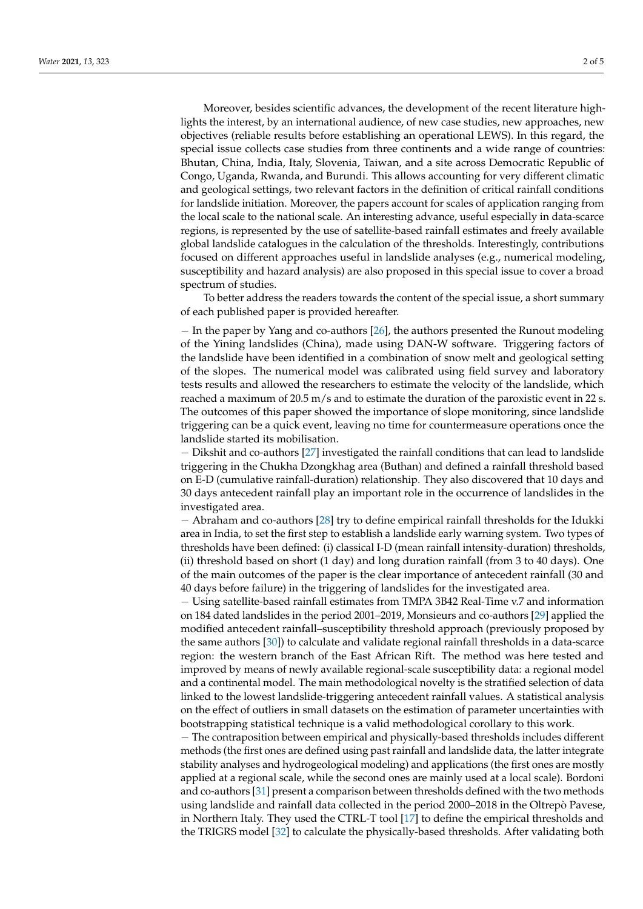Moreover, besides scientific advances, the development of the recent literature highlights the interest, by an international audience, of new case studies, new approaches, new objectives (reliable results before establishing an operational LEWS). In this regard, the special issue collects case studies from three continents and a wide range of countries: Bhutan, China, India, Italy, Slovenia, Taiwan, and a site across Democratic Republic of Congo, Uganda, Rwanda, and Burundi. This allows accounting for very different climatic and geological settings, two relevant factors in the definition of critical rainfall conditions for landslide initiation. Moreover, the papers account for scales of application ranging from the local scale to the national scale. An interesting advance, useful especially in data-scarce regions, is represented by the use of satellite-based rainfall estimates and freely available global landslide catalogues in the calculation of the thresholds. Interestingly, contributions focused on different approaches useful in landslide analyses (e.g., numerical modeling, susceptibility and hazard analysis) are also proposed in this special issue to cover a broad spectrum of studies.

To better address the readers towards the content of the special issue, a short summary of each published paper is provided hereafter.

− In the paper by Yang and co-authors [\[26\]](#page-4-11), the authors presented the Runout modeling of the Yining landslides (China), made using DAN-W software. Triggering factors of the landslide have been identified in a combination of snow melt and geological setting of the slopes. The numerical model was calibrated using field survey and laboratory tests results and allowed the researchers to estimate the velocity of the landslide, which reached a maximum of 20.5 m/s and to estimate the duration of the paroxistic event in 22 s. The outcomes of this paper showed the importance of slope monitoring, since landslide triggering can be a quick event, leaving no time for countermeasure operations once the landslide started its mobilisation.

− Dikshit and co-authors [\[27\]](#page-4-12) investigated the rainfall conditions that can lead to landslide triggering in the Chukha Dzongkhag area (Buthan) and defined a rainfall threshold based on E-D (cumulative rainfall-duration) relationship. They also discovered that 10 days and 30 days antecedent rainfall play an important role in the occurrence of landslides in the investigated area.

− Abraham and co-authors [\[28\]](#page-4-13) try to define empirical rainfall thresholds for the Idukki area in India, to set the first step to establish a landslide early warning system. Two types of thresholds have been defined: (i) classical I-D (mean rainfall intensity-duration) thresholds, (ii) threshold based on short (1 day) and long duration rainfall (from 3 to 40 days). One of the main outcomes of the paper is the clear importance of antecedent rainfall (30 and 40 days before failure) in the triggering of landslides for the investigated area.

− Using satellite-based rainfall estimates from TMPA 3B42 Real-Time v.7 and information on 184 dated landslides in the period 2001–2019, Monsieurs and co-authors [\[29\]](#page-4-14) applied the modified antecedent rainfall–susceptibility threshold approach (previously proposed by the same authors [\[30\]](#page-4-15)) to calculate and validate regional rainfall thresholds in a data-scarce region: the western branch of the East African Rift. The method was here tested and improved by means of newly available regional-scale susceptibility data: a regional model and a continental model. The main methodological novelty is the stratified selection of data linked to the lowest landslide-triggering antecedent rainfall values. A statistical analysis on the effect of outliers in small datasets on the estimation of parameter uncertainties with bootstrapping statistical technique is a valid methodological corollary to this work.

− The contraposition between empirical and physically-based thresholds includes different methods (the first ones are defined using past rainfall and landslide data, the latter integrate stability analyses and hydrogeological modeling) and applications (the first ones are mostly applied at a regional scale, while the second ones are mainly used at a local scale). Bordoni and co-authors [\[31\]](#page-4-16) present a comparison between thresholds defined with the two methods using landslide and rainfall data collected in the period 2000–2018 in the Oltrepò Pavese, in Northern Italy. They used the CTRL-T tool [\[17\]](#page-4-2) to define the empirical thresholds and the TRIGRS model [\[32\]](#page-4-17) to calculate the physically-based thresholds. After validating both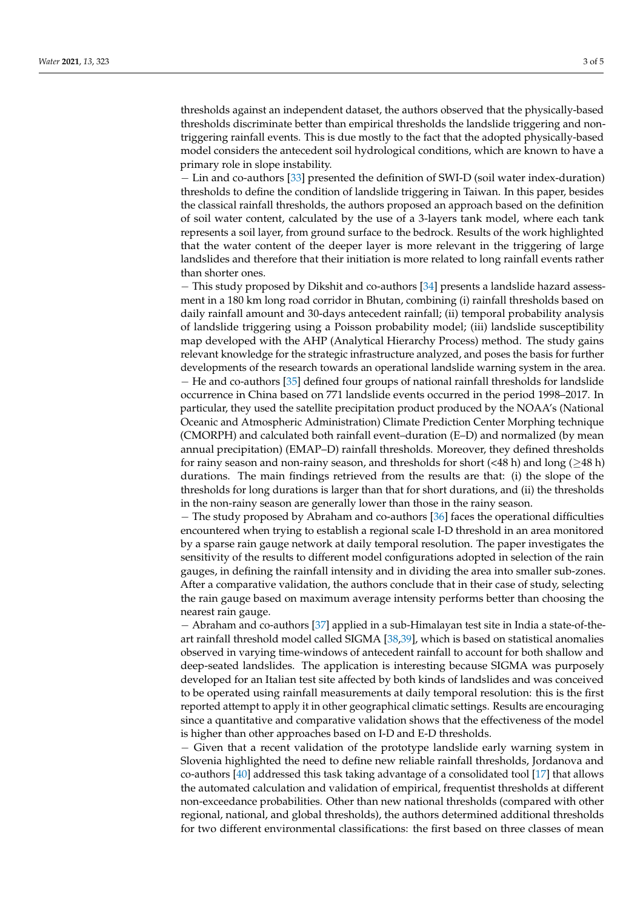thresholds against an independent dataset, the authors observed that the physically-based thresholds discriminate better than empirical thresholds the landslide triggering and nontriggering rainfall events. This is due mostly to the fact that the adopted physically-based model considers the antecedent soil hydrological conditions, which are known to have a primary role in slope instability.

− Lin and co-authors [\[33\]](#page-4-18) presented the definition of SWI-D (soil water index-duration) thresholds to define the condition of landslide triggering in Taiwan. In this paper, besides the classical rainfall thresholds, the authors proposed an approach based on the definition of soil water content, calculated by the use of a 3-layers tank model, where each tank represents a soil layer, from ground surface to the bedrock. Results of the work highlighted that the water content of the deeper layer is more relevant in the triggering of large landslides and therefore that their initiation is more related to long rainfall events rather than shorter ones.

− This study proposed by Dikshit and co-authors [\[34\]](#page-4-19) presents a landslide hazard assessment in a 180 km long road corridor in Bhutan, combining (i) rainfall thresholds based on daily rainfall amount and 30-days antecedent rainfall; (ii) temporal probability analysis of landslide triggering using a Poisson probability model; (iii) landslide susceptibility map developed with the AHP (Analytical Hierarchy Process) method. The study gains relevant knowledge for the strategic infrastructure analyzed, and poses the basis for further developments of the research towards an operational landslide warning system in the area. − He and co-authors [\[35\]](#page-4-20) defined four groups of national rainfall thresholds for landslide occurrence in China based on 771 landslide events occurred in the period 1998–2017. In particular, they used the satellite precipitation product produced by the NOAA's (National Oceanic and Atmospheric Administration) Climate Prediction Center Morphing technique (CMORPH) and calculated both rainfall event–duration (E–D) and normalized (by mean annual precipitation) (EMAP–D) rainfall thresholds. Moreover, they defined thresholds for rainy season and non-rainy season, and thresholds for short ( $\langle 48 \text{ h} \rangle$  and long ( $\geq 48 \text{ h}$ ) durations. The main findings retrieved from the results are that: (i) the slope of the thresholds for long durations is larger than that for short durations, and (ii) the thresholds in the non-rainy season are generally lower than those in the rainy season.

− The study proposed by Abraham and co-authors [\[36\]](#page-4-21) faces the operational difficulties encountered when trying to establish a regional scale I-D threshold in an area monitored by a sparse rain gauge network at daily temporal resolution. The paper investigates the sensitivity of the results to different model configurations adopted in selection of the rain gauges, in defining the rainfall intensity and in dividing the area into smaller sub-zones. After a comparative validation, the authors conclude that in their case of study, selecting the rain gauge based on maximum average intensity performs better than choosing the nearest rain gauge.

− Abraham and co-authors [\[37\]](#page-4-22) applied in a sub-Himalayan test site in India a state-of-theart rainfall threshold model called SIGMA [\[38](#page-4-23)[,39\]](#page-4-24), which is based on statistical anomalies observed in varying time-windows of antecedent rainfall to account for both shallow and deep-seated landslides. The application is interesting because SIGMA was purposely developed for an Italian test site affected by both kinds of landslides and was conceived to be operated using rainfall measurements at daily temporal resolution: this is the first reported attempt to apply it in other geographical climatic settings. Results are encouraging since a quantitative and comparative validation shows that the effectiveness of the model is higher than other approaches based on I-D and E-D thresholds.

− Given that a recent validation of the prototype landslide early warning system in Slovenia highlighted the need to define new reliable rainfall thresholds, Jordanova and co-authors [\[40\]](#page-4-25) addressed this task taking advantage of a consolidated tool [\[17\]](#page-4-2) that allows the automated calculation and validation of empirical, frequentist thresholds at different non-exceedance probabilities. Other than new national thresholds (compared with other regional, national, and global thresholds), the authors determined additional thresholds for two different environmental classifications: the first based on three classes of mean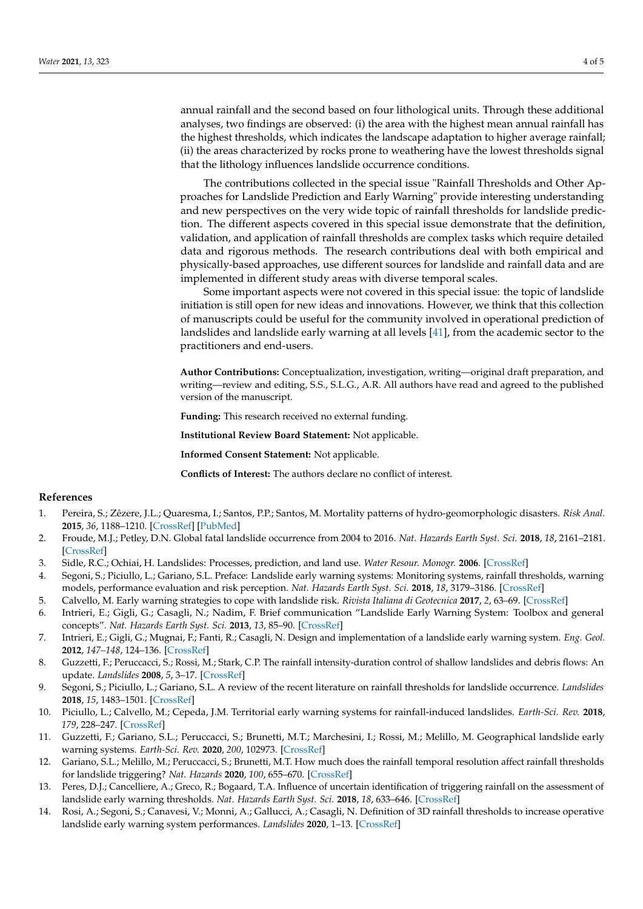annual rainfall and the second based on four lithological units. Through these additional analyses, two findings are observed: (i) the area with the highest mean annual rainfall has the highest thresholds, which indicates the landscape adaptation to higher average rainfall; (ii) the areas characterized by rocks prone to weathering have the lowest thresholds signal that the lithology influences landslide occurrence conditions.

The contributions collected in the special issue "Rainfall Thresholds and Other Approaches for Landslide Prediction and Early Warning" provide interesting understanding and new perspectives on the very wide topic of rainfall thresholds for landslide prediction. The different aspects covered in this special issue demonstrate that the definition, validation, and application of rainfall thresholds are complex tasks which require detailed data and rigorous methods. The research contributions deal with both empirical and physically-based approaches, use different sources for landslide and rainfall data and are implemented in different study areas with diverse temporal scales.

Some important aspects were not covered in this special issue: the topic of landslide initiation is still open for new ideas and innovations. However, we think that this collection of manuscripts could be useful for the community involved in operational prediction of landslides and landslide early warning at all levels [\[41\]](#page-4-26), from the academic sector to the practitioners and end-users.

**Author Contributions:** Conceptualization, investigation, writing—original draft preparation, and writing—review and editing, S.S., S.L.G., A.R. All authors have read and agreed to the published version of the manuscript.

**Funding:** This research received no external funding.

**Institutional Review Board Statement:** Not applicable.

**Informed Consent Statement:** Not applicable.

**Conflicts of Interest:** The authors declare no conflict of interest.

## **References**

- <span id="page-3-0"></span>1. Pereira, S.; Zêzere, J.L.; Quaresma, I.; Santos, P.P.; Santos, M. Mortality patterns of hydro-geomorphologic disasters. *Risk Anal.* **2015**, *36*, 1188–1210. [\[CrossRef\]](http://doi.org/10.1111/risa.12516) [\[PubMed\]](http://www.ncbi.nlm.nih.gov/pubmed/26616470)
- <span id="page-3-1"></span>2. Froude, M.J.; Petley, D.N. Global fatal landslide occurrence from 2004 to 2016. *Nat. Hazards Earth Syst. Sci.* **2018**, *18*, 2161–2181. [\[CrossRef\]](http://doi.org/10.5194/nhess-18-2161-2018)
- <span id="page-3-2"></span>3. Sidle, R.C.; Ochiai, H. Landslides: Processes, prediction, and land use. *Water Resour. Monogr.* **2006**. [\[CrossRef\]](http://doi.org/10.1029/WM018)
- <span id="page-3-3"></span>4. Segoni, S.; Piciullo, L.; Gariano, S.L. Preface: Landslide early warning systems: Monitoring systems, rainfall thresholds, warning models, performance evaluation and risk perception. *Nat. Hazards Earth Syst. Sci.* **2018**, *18*, 3179–3186. [\[CrossRef\]](http://doi.org/10.5194/nhess-18-3179-2018)
- <span id="page-3-4"></span>5. Calvello, M. Early warning strategies to cope with landslide risk. *Rivista Italiana di Geotecnica* **2017**, *2*, 63–69. [\[CrossRef\]](http://doi.org/10.19199/2017.2.0557-1405.063)
- 6. Intrieri, E.; Gigli, G.; Casagli, N.; Nadim, F. Brief communication "Landslide Early Warning System: Toolbox and general concepts". *Nat. Hazards Earth Syst. Sci.* **2013**, *13*, 85–90. [\[CrossRef\]](http://doi.org/10.5194/nhess-13-85-2013)
- <span id="page-3-5"></span>7. Intrieri, E.; Gigli, G.; Mugnai, F.; Fanti, R.; Casagli, N. Design and implementation of a landslide early warning system. *Eng. Geol.* **2012**, *147–148*, 124–136. [\[CrossRef\]](http://doi.org/10.1016/j.enggeo.2012.07.017)
- <span id="page-3-6"></span>8. Guzzetti, F.; Peruccacci, S.; Rossi, M.; Stark, C.P. The rainfall intensity-duration control of shallow landslides and debris flows: An update. *Landslides* **2008**, *5*, 3–17. [\[CrossRef\]](http://doi.org/10.1007/s10346-007-0112-1)
- 9. Segoni, S.; Piciullo, L.; Gariano, S.L. A review of the recent literature on rainfall thresholds for landslide occurrence. *Landslides* **2018**, *15*, 1483–1501. [\[CrossRef\]](http://doi.org/10.1007/s10346-018-0966-4)
- <span id="page-3-8"></span>10. Piciullo, L.; Calvello, M.; Cepeda, J.M. Territorial early warning systems for rainfall-induced landslides. *Earth-Sci. Rev.* **2018**, *179*, 228–247. [\[CrossRef\]](http://doi.org/10.1016/j.earscirev.2018.02.013)
- <span id="page-3-7"></span>11. Guzzetti, F.; Gariano, S.L.; Peruccacci, S.; Brunetti, M.T.; Marchesini, I.; Rossi, M.; Melillo, M. Geographical landslide early warning systems. *Earth-Sci. Rev.* **2020**, *200*, 102973. [\[CrossRef\]](http://doi.org/10.1016/j.earscirev.2019.102973)
- <span id="page-3-9"></span>12. Gariano, S.L.; Melillo, M.; Peruccacci, S.; Brunetti, M.T. How much does the rainfall temporal resolution affect rainfall thresholds for landslide triggering? *Nat. Hazards* **2020**, *100*, 655–670. [\[CrossRef\]](http://doi.org/10.1007/s11069-019-03830-x)
- <span id="page-3-10"></span>13. Peres, D.J.; Cancelliere, A.; Greco, R.; Bogaard, T.A. Influence of uncertain identification of triggering rainfall on the assessment of landslide early warning thresholds. *Nat. Hazards Earth Syst. Sci.* **2018**, *18*, 633–646. [\[CrossRef\]](http://doi.org/10.5194/nhess-18-633-2018)
- <span id="page-3-11"></span>14. Rosi, A.; Segoni, S.; Canavesi, V.; Monni, A.; Gallucci, A.; Casagli, N. Definition of 3D rainfall thresholds to increase operative landslide early warning system performances. *Landslides* **2020**, 1–13. [\[CrossRef\]](http://doi.org/10.1007/s10346-020-01523-2)